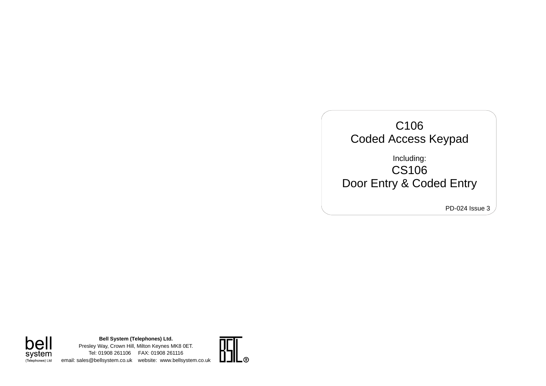

**Bell System (Telephones) Ltd.** bell Presley Way, Crown Hill, Milton Keynes MK8 0ET. System Tel: 01908 261106 FAX: 01908 261116 email: sales@bellsystem.co.uk website: www.bellsystem.co.uk

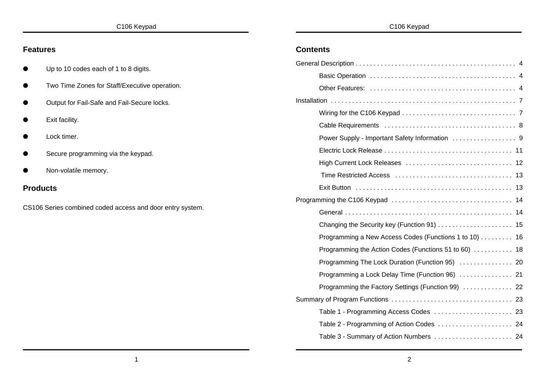|  | C106 Keypad |
|--|-------------|
|--|-------------|

### **Features** Up to 10 codes each of 1 to 8 digits. Two Time Zones for Staff/Executive operation. **Output for Fail-Safe and Fail-Secure locks.** Exit facility. Lock timer. Secure programming via the keypad. Non-volatile memory. **Products** CS106 Series combined coded access and door entry system. **Contents** General Description ............................................. 4 Basic Operation ......................................... 4 Other Features: ......................................... 4 Installation .................................................... 7 Wiring for the C106 Keypad ................................ 7 Cable Requirements ..................................... 8 Power Supply - Important Safety Information .................. 9 Electric Lock Release .................................... 11 High Current Lock Releases .............................. 12 Time Restricted Access ................................. 13 Exit Button ............................................ 13 Programming the C106 Keypad .................................. 14 General ............................................... 14 Changing the Security key (Function 91) ..................... 15 Programming a New Access Codes (Functions 1 to 10) ......... 16 Programming the Action Codes (Functions 51 to 60) ........... 18 Programming The Lock Duration (Function 95) ............... 20 Programming a Lock Delay Time (Function 96) ............... 21

Summary of Program Functions .................................. 23

Programming the Factory Settings (Function 99) .............. 22

Table 1 - Programming Access Codes ...................... 23 Table 2 - Programming of Action Codes ............................. 24 Table 3 - Summary of Action Numbers ............................. 24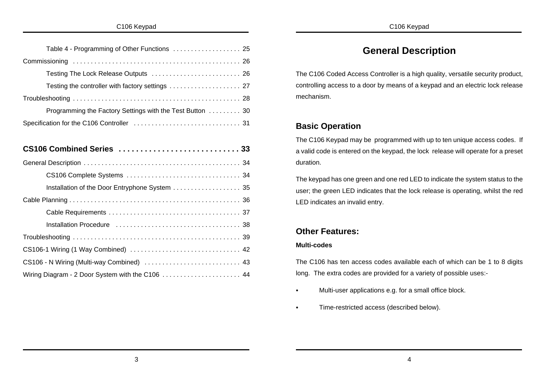| Table 4 - Programming of Other Functions  25              |
|-----------------------------------------------------------|
|                                                           |
| Testing The Lock Release Outputs  26                      |
|                                                           |
|                                                           |
| Programming the Factory Settings with the Test Button  30 |
|                                                           |
|                                                           |
|                                                           |
|                                                           |
|                                                           |
| Installation of the Door Entryphone System 35             |
|                                                           |
|                                                           |
|                                                           |
|                                                           |
|                                                           |
| CS106 - N Wiring (Multi-way Combined)  43                 |
|                                                           |

# **General Description**

The C106 Coded Access Controller is a high quality, versatile security product, controlling access to a door by means of a keypad and an electric lock release mechanism.

## **Basic Operation**

The C106 Keypad may be programmed with up to ten unique access codes. If a valid code is entered on the keypad, the lock release will operate for a preset duration.

The keypad has one green and one red LED to indicate the system status to the user; the green LED indicates that the lock release is operating, whilst the red LED indicates an invalid entry.

# **Other Features:**

## **Multi-codes**

The C106 has ten access codes available each of which can be 1 to 8 digits long. The extra codes are provided for a variety of possible uses:-

- Multi-user applications e.g. for a small office block.
- Time-restricted access (described below).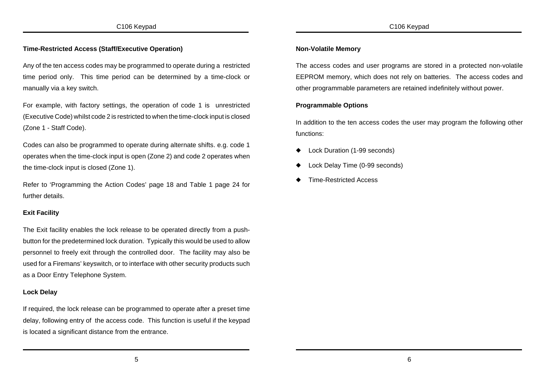### **Time-Restricted Access (Staff/Executive Operation)**

Any of the ten access codes may be programmed to operate during a restricted time period only. This time period can be determined by a time-clock or manually via a key switch.

For example, with factory settings, the operation of code 1 is unrestricted (Executive Code) whilst code 2 is restricted to when the time-clock input is closed (Zone 1 - Staff Code).

Codes can also be programmed to operate during alternate shifts. e.g. code 1 operates when the time-clock input is open (Zone 2) and code 2 operates when the time-clock input is closed (Zone 1).

Refer to 'Programming the Action Codes' page 18 and Table 1 page 24 for further details.

### **Exit Facility**

The Exit facility enables the lock release to be operated directly from a pushbutton for the predetermined lock duration. Typically this would be used to allow personnel to freely exit through the controlled door. The facility may also be used for a Firemans' keyswitch, or to interface with other security products such as a Door Entry Telephone System.

### **Lock Delay**

If required, the lock release can be programmed to operate after a preset time delay, following entry of the access code. This function is useful if the keypad is located a significant distance from the entrance.

### **Non-Volatile Memory**

The access codes and user programs are stored in a protected non-volatile EEPROM memory, which does not rely on batteries. The access codes and other programmable parameters are retained indefinitely without power.

#### **Programmable Options**

In addition to the ten access codes the user may program the following other functions:

- Lock Duration (1-99 seconds)
- Lock Delay Time (0-99 seconds)
- **Time-Restricted Access**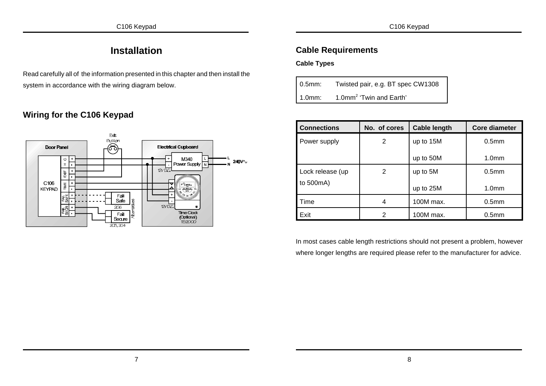# **Installation**

Read carefully all of the information presented in this chapter and then install the system in accordance with the wiring diagram below.

# **Wiring for the C106 Keypad**



# **Cable Requirements**

**Cable Types**

| $0.5$ mm: | Twisted pair, e.g. BT spec CW1308   |
|-----------|-------------------------------------|
| 1.0mm:    | 1.0mm <sup>2</sup> 'Twin and Earth' |

| <b>Connections</b> | No. of cores   | <b>Cable length</b> | <b>Core diameter</b> |
|--------------------|----------------|---------------------|----------------------|
| Power supply       | $\overline{2}$ | up to 15M           | 0.5 <sub>mm</sub>    |
|                    |                | up to 50M           | 1.0 <sub>mm</sub>    |
| Lock release (up   | 2              | up to 5M            | 0.5 <sub>mm</sub>    |
| to 500mA)          |                | up to 25M           | 1.0 <sub>mm</sub>    |
| Time               | 4              | 100M max.           | 0.5 <sub>mm</sub>    |
| Exit               | 2              | 100M max.           | 0.5 <sub>mm</sub>    |

In most cases cable length restrictions should not present a problem, however where longer lengths are required please refer to the manufacturer for advice.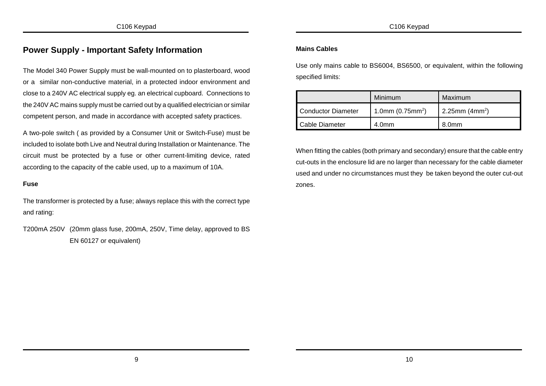## **Power Supply - Important Safety Information**

The Model 340 Power Supply must be wall-mounted on to plasterboard, wood or a similar non-conductive material, in a protected indoor environment and close to a 240V AC electrical supply eg. an electrical cupboard. Connections to the 240V AC mains supply must be carried out by a qualified electrician or similar competent person, and made in accordance with accepted safety practices.

A two-pole switch ( as provided by a Consumer Unit or Switch-Fuse) must be included to isolate both Live and Neutral during Installation or Maintenance. The circuit must be protected by a fuse or other current-limiting device, rated according to the capacity of the cable used, up to a maximum of 10A.

#### **Fuse**

The transformer is protected by a fuse; always replace this with the correct type and rating:

T200mA 250V (20mm glass fuse, 200mA, 250V, Time delay, approved to BS EN 60127 or equivalent)

#### **Mains Cables**

Use only mains cable to BS6004, BS6500, or equivalent, within the following specified limits:

|                    | Minimum                         | Maximum          |
|--------------------|---------------------------------|------------------|
| Conductor Diameter | 1.0mm $(0.75$ mm <sup>2</sup> ) | 2.25mm $(4mm^2)$ |
| Cable Diameter     | 4.0 <sub>mm</sub>               | 8.0mm            |

When fitting the cables (both primary and secondary) ensure that the cable entry cut-outs in the enclosure lid are no larger than necessary for the cable diameter used and under no circumstances must they be taken beyond the outer cut-out zones.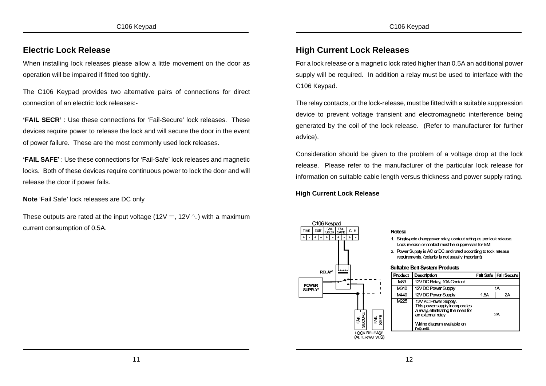## **Electric Lock Release**

When installing lock releases please allow a little movement on the door as operation will be impaired if fitted too tightly.

The C106 Keypad provides two alternative pairs of connections for direct connection of an electric lock releases:-

**'FAIL SECR'** : Use these connections for 'Fail-Secure' lock releases. These devices require power to release the lock and will secure the door in the event of power failure. These are the most commonly used lock releases.

**'FAIL SAFE'** : Use these connections for 'Fail-Safe' lock releases and magnetic locks. Both of these devices require continuous power to lock the door and will release the door if power fails.

**Note** 'Fail Safe' lock releases are DC only

These outputs are rated at the input voltage (12V  $\equiv$ , 12V  $\Diamond$ ) with a maximum current consumption of 0.5A.

## **High Current Lock Releases**

For a lock release or a magnetic lock rated higher than 0.5A an additional power supply will be required. In addition a relay must be used to interface with the C106 Keypad.

The relay contacts, or the lock-release, must be fitted with a suitable suppression device to prevent voltage transient and electromagnetic interference being generated by the coil of the lock release. (Refer to manufacturer for further advice).

Consideration should be given to the problem of a voltage drop at the lock release. Please refer to the manufacturer of the particular lock release for information on suitable cable length versus thickness and power supply rating.

**High Current Lock Release**

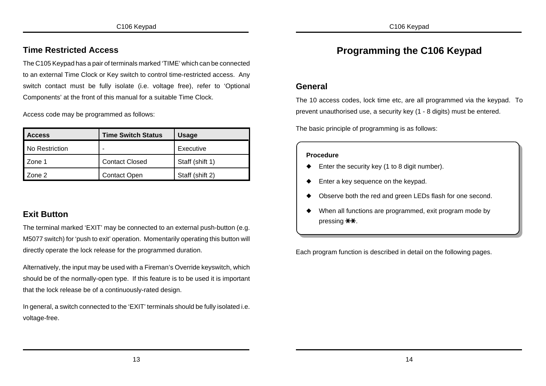## **Time Restricted Access**

The C105 Keypad has a pair of terminals marked 'TIME' which can be connected to an external Time Clock or Key switch to control time-restricted access. Any switch contact must be fully isolate (i.e. voltage free), refer to 'Optional Components' at the front of this manual for a suitable Time Clock.

Access code may be programmed as follows:

| <b>Access</b>  | <b>Time Switch Status</b> | <b>Usage</b>    |
|----------------|---------------------------|-----------------|
| No Restriction |                           | Executive       |
| l Zone 1       | <b>Contact Closed</b>     | Staff (shift 1) |
| Zone 2         | <b>Contact Open</b>       | Staff (shift 2) |

## **Exit Button**

The terminal marked 'EXIT' may be connected to an external push-button (e.g. M5077 switch) for 'push to exit' operation. Momentarily operating this button will directly operate the lock release for the programmed duration.

Alternatively, the input may be used with a Fireman's Override keyswitch, which should be of the normally-open type. If this feature is to be used it is important that the lock release be of a continuously-rated design.

In general, a switch connected to the 'EXIT' terminals should be fully isolated i.e. voltage-free.

# **Programming the C106 Keypad**

## **General**

The 10 access codes, lock time etc, are all programmed via the keypad. To prevent unauthorised use, a security key (1 - 8 digits) must be entered.

The basic principle of programming is as follows:

#### **Procedure**

- $\blacklozenge$  Enter the security key (1 to 8 digit number).
- Enter a key sequence on the keypad.
- Observe both the red and green LEDs flash for one second.
- When all functions are programmed, exit program mode by pressing **\*\***.

Each program function is described in detail on the following pages.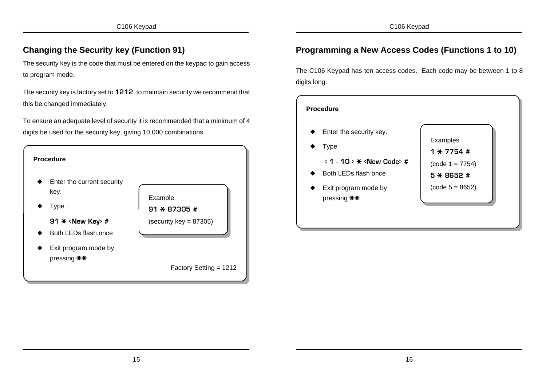# **Changing the Security key (Function 91)**

The security key is the code that must be entered on the keypad to gain access to program mode.

The security key is factory set to **1212**, to maintain security we recommend that this be changed immediately.

To ensure an adequate level of security it is recommended that a minimum of 4 digits be used for the security key, giving 10,000 combinations.



# **Programming a New Access Codes (Functions 1 to 10)**

The C106 Keypad has ten access codes. Each code may be between 1 to 8 digits long.

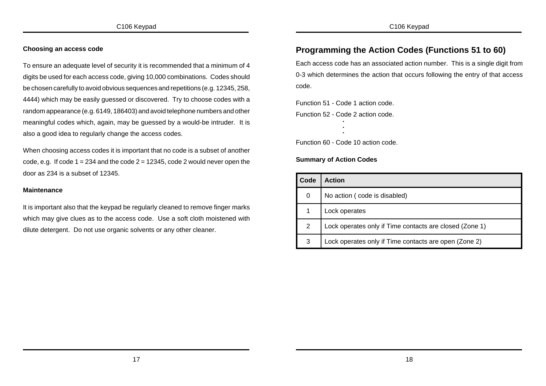### **Choosing an access code**

To ensure an adequate level of security it is recommended that a minimum of 4 digits be used for each access code, giving 10,000 combinations. Codes should be chosen carefully to avoid obvious sequences and repetitions (e.g. 12345, 258, 4444) which may be easily guessed or discovered. Try to choose codes with a random appearance (e.g. 6149, 186403) and avoid telephone numbers and other meaningful codes which, again, may be guessed by a would-be intruder. It is also a good idea to regularly change the access codes.

When choosing access codes it is important that no code is a subset of another code, e.g. If code  $1 = 234$  and the code  $2 = 12345$ , code 2 would never open the door as 234 is a subset of 12345.

### **Maintenance**

It is important also that the keypad be regularly cleaned to remove finger marks which may give clues as to the access code. Use a soft cloth moistened with dilute detergent. Do not use organic solvents or any other cleaner.

# **Programming the Action Codes (Functions 51 to 60)**

Each access code has an associated action number. This is a single digit from 0-3 which determines the action that occurs following the entry of that access code.

Function 51 - Code 1 action code.

Function 52 - Code 2 action code. **. .**

**.**  Function 60 - Code 10 action code.

## **Summary of Action Codes**

| Code | <b>Action</b>                                           |
|------|---------------------------------------------------------|
| 0    | No action (code is disabled)                            |
|      | Lock operates                                           |
| 2    | Lock operates only if Time contacts are closed (Zone 1) |
| 3    | Lock operates only if Time contacts are open (Zone 2)   |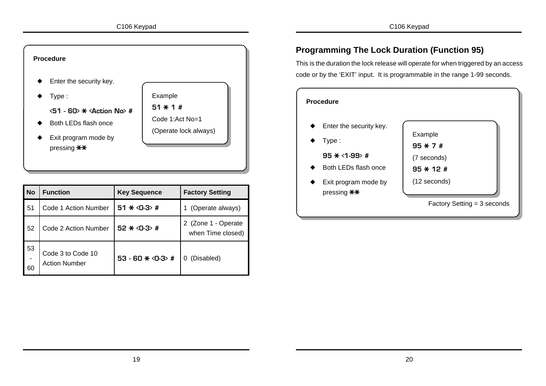

| <b>No</b> | <b>Function</b>                           | <b>Key Sequence</b>     | <b>Factory Setting</b>                   |
|-----------|-------------------------------------------|-------------------------|------------------------------------------|
| 51        | Code 1 Action Number                      | 51 $\star$ <0-3> #      | (Operate always)                         |
| 52        | Code 2 Action Number                      | $52 * 0-3$ #            | 2 (Zone 1 - Operate<br>when Time closed) |
| 53<br>60  | Code 3 to Code 10<br><b>Action Number</b> | 53 - 60 $\star$ <0-3> # | (Disabled)<br>0                          |

# **Programming The Lock Duration (Function 95)**

This is the duration the lock release will operate for when triggered by an access code or by the 'EXIT' input. It is programmable in the range 1-99 seconds.

| <b>Procedure</b>        |                               |  |  |  |
|-------------------------|-------------------------------|--|--|--|
| Enter the security key. |                               |  |  |  |
|                         | Example                       |  |  |  |
| Type:                   | $95 * 7 *$                    |  |  |  |
| $95 * 1 - 99$ #         | (7 seconds)                   |  |  |  |
| Both LEDs flash once    | $95 + 12 +$                   |  |  |  |
| Exit program mode by    | (12 seconds)                  |  |  |  |
| pressing **             |                               |  |  |  |
|                         | Factory Setting $=$ 3 seconds |  |  |  |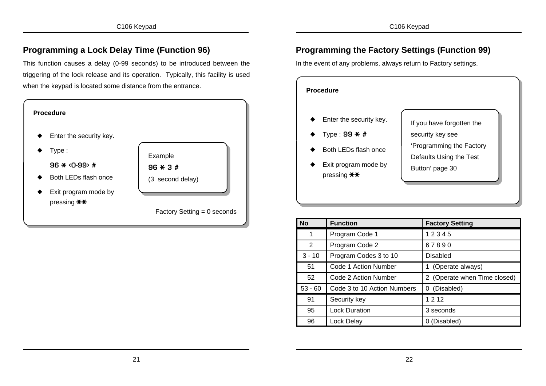## **Programming a Lock Delay Time (Function 96)**

This function causes a delay (0-99 seconds) to be introduced between the triggering of the lock release and its operation. Typically, this facility is used when the keypad is located some distance from the entrance.



# **Programming the Factory Settings (Function 99)**

In the event of any problems, always return to Factory settings.



| <b>No</b> | <b>Function</b>             | <b>Factory Setting</b>       |
|-----------|-----------------------------|------------------------------|
| 1         | Program Code 1              | 12345                        |
| 2         | Program Code 2              | 67890                        |
| $3 - 10$  | Program Codes 3 to 10       | Disabled                     |
| 51        | Code 1 Action Number        | (Operate always)             |
| 52        | Code 2 Action Number        | 2 (Operate when Time closed) |
| $53 - 60$ | Code 3 to 10 Action Numbers | (Disabled)<br>0              |
| 91        | Security key                | 1 2 1 2                      |
| 95        | <b>Lock Duration</b>        | 3 seconds                    |
| 96        | Lock Delay                  | (Disabled)                   |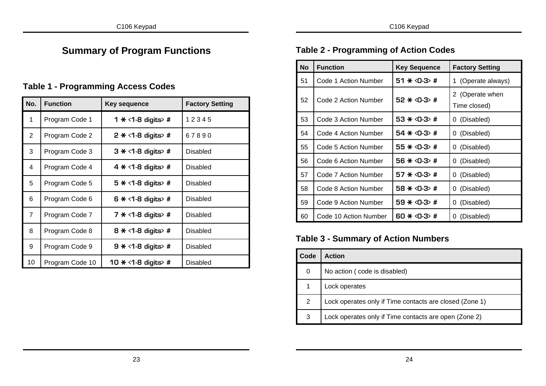# **Summary of Program Functions**

# **Table 1 - Programming Access Codes**

| No.            | <b>Function</b> | Key sequence              | <b>Factory Setting</b> |
|----------------|-----------------|---------------------------|------------------------|
| 1              | Program Code 1  | 1 $\star$ <1-8 digits> #  | 12345                  |
| $\overline{2}$ | Program Code 2  | 2 $\star$ <1-8 digits> #  | 67890                  |
| 3              | Program Code 3  | $3 \times 1-8$ digits #   | Disabled               |
| 4              | Program Code 4  | 4 $*$ <1-8 digits> #      | Disabled               |
| 5              | Program Code 5  | 5 $*$ <1-8 digits> #      | Disabled               |
| 6              | Program Code 6  | $6 \times 1-8$ digits> #  | Disabled               |
| $\overline{7}$ | Program Code 7  | 7 $*$ <1-8 digits> #      | <b>Disabled</b>        |
| 8              | Program Code 8  | 8 $\star$ <1-8 digits> #  | Disabled               |
| 9              | Program Code 9  | 9 $\star$ <1-8 digits> #  | Disabled               |
| 10             | Program Code 10 | 10 $\star$ <1-8 digits> # | Disabled               |

# **Table 2 - Programming of Action Codes**

| <b>No</b> | <b>Function</b>       | <b>Key Sequence</b>     | <b>Factory Setting</b>          |
|-----------|-----------------------|-------------------------|---------------------------------|
| 51        | Code 1 Action Number  | 51 $\star$ <0-3> #      | 1 (Operate always)              |
| 52        | Code 2 Action Number  | $52 * 0-3$ #            | 2 (Operate when<br>Time closed) |
| 53        | Code 3 Action Number  | 53 $\star$ <0-3> #      | 0 (Disabled)                    |
| 54        | Code 4 Action Number  | 54 $\star$ <0-3> #      | 0 (Disabled)                    |
| 55        | Code 5 Action Number  | 55 $\star$ <0-3> #      | (Disabled)<br>0                 |
| 56        | Code 6 Action Number  | 56 $*$ <0-3> #          | (Disabled)<br>0                 |
| 57        | Code 7 Action Number  | 57 $\star$ <0-3> #      | (Disabled)<br>0                 |
| 58        | Code 8 Action Number  | 58 <del>*</del> <0-3> # | 0 (Disabled)                    |
| 59        | Code 9 Action Number  | 59 $*$ <0-3> #          | (Disabled)<br>0                 |
| 60        | Code 10 Action Number | 60 $\star$ <0-3> #      | (Disabled)<br>0                 |

# **Table 3 - Summary of Action Numbers**

| Code | <b>Action</b>                                           |
|------|---------------------------------------------------------|
| 0    | No action (code is disabled)                            |
|      | Lock operates                                           |
| 2    | Lock operates only if Time contacts are closed (Zone 1) |
| 3    | Lock operates only if Time contacts are open (Zone 2)   |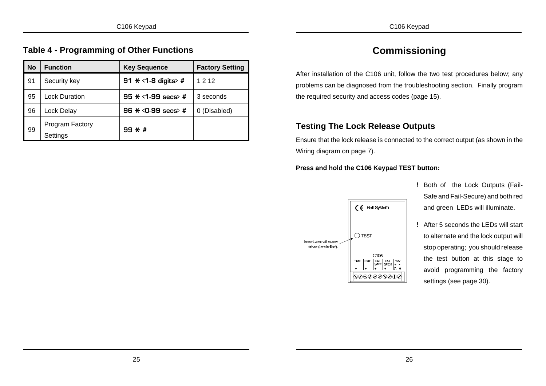## **Table 4 - Programming of Other Functions**

| <b>No</b> | <b>Function</b>             | <b>Key Sequence</b>       | <b>Factory Setting</b> |
|-----------|-----------------------------|---------------------------|------------------------|
| 91        | Security key                | 91 $\star$ <1-8 digits> # | 1 2 1 2                |
| 95        | <b>Lock Duration</b>        | 95 $\star$ <1-99 secs> #  | 3 seconds              |
| 96        | Lock Delay                  | 96 $\star$ <0-99 secs> #  | 0 (Disabled)           |
| -99       | Program Factory<br>Settings | $99 * #$                  |                        |

# **Commissioning**

After installation of the C106 unit, follow the two test procedures below; any problems can be diagnosed from the troubleshooting section. Finally program the required security and access codes (page 15).

## **Testing The Lock Release Outputs**

Ensure that the lock release is connected to the correct output (as shown in the Wiring diagram on page 7).

### **Press and hold the C106 Keypad TEST button:**



- ! Both of the Lock Outputs (Fail-Safe and Fail-Secure) and both red and green LEDs will illuminate.
- ! After 5 seconds the LEDs will start to alternate and the lock output will stop operating; you should release the test button at this stage to avoid programming the factory settings (see page 30).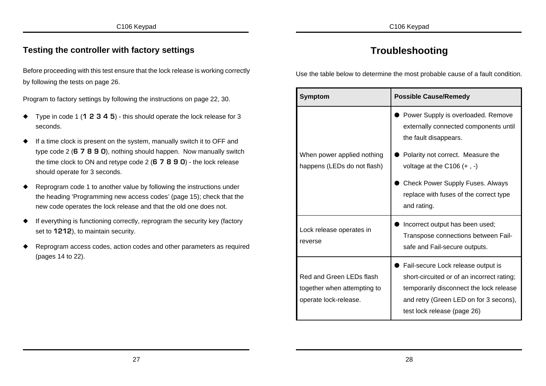## **Testing the controller with factory settings**

Before proceeding with this test ensure that the lock release is working correctly by following the tests on page 26.

Program to factory settings by following the instructions on page 22, 30.

- ó Type in code 1 (**1 2 3 4 5**) this should operate the lock release for 3 seconds.
- If a time clock is present on the system, manually switch it to OFF and type code 2 (**6 7 8 9 0**), nothing should happen. Now manually switch the time clock to ON and retype code 2 (**6 7 8 9 0**) - the lock release should operate for 3 seconds.
- Reprogram code 1 to another value by following the instructions under the heading 'Programming new access codes' (page 15); check that the new code operates the lock release and that the old one does not.
- ó If everything is functioning correctly, reprogram the security key (factory set to **1212**), to maintain security.
- Reprogram access codes, action codes and other parameters as required (pages 14 to 22).

# **Troubleshooting**

Use the table below to determine the most probable cause of a fault condition.

| <b>Symptom</b>                                                                   | <b>Possible Cause/Remedy</b>                                                                                                                                                                         |  |
|----------------------------------------------------------------------------------|------------------------------------------------------------------------------------------------------------------------------------------------------------------------------------------------------|--|
|                                                                                  | Power Supply is overloaded. Remove<br>externally connected components until<br>the fault disappears.                                                                                                 |  |
| When power applied nothing<br>happens (LEDs do not flash)                        | Polarity not correct. Measure the<br>voltage at the C106 $(+, -)$                                                                                                                                    |  |
|                                                                                  | <b>Check Power Supply Fuses. Always</b><br>replace with fuses of the correct type<br>and rating.                                                                                                     |  |
| Lock release operates in<br>reverse                                              | Incorrect output has been used;<br>Transpose connections between Fail-<br>safe and Fail-secure outputs.                                                                                              |  |
| Red and Green LEDs flash<br>together when attempting to<br>operate lock-release. | Fail-secure Lock release output is<br>short-circuited or of an incorrect rating;<br>temporarily disconnect the lock release<br>and retry (Green LED on for 3 secons),<br>test lock release (page 26) |  |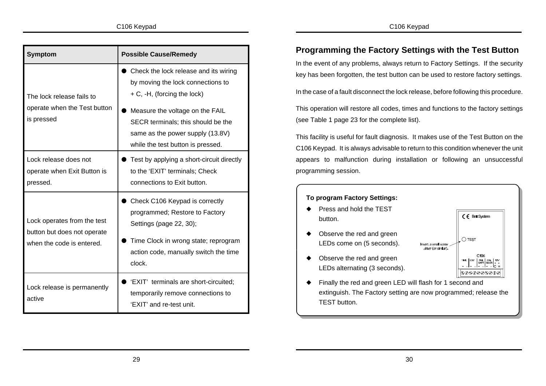| <b>Symptom</b>                                                                          | <b>Possible Cause/Remedy</b>                                                                                                                                                                                                                                |
|-----------------------------------------------------------------------------------------|-------------------------------------------------------------------------------------------------------------------------------------------------------------------------------------------------------------------------------------------------------------|
| The lock release fails to<br>operate when the Test button<br>is pressed                 | Check the lock release and its wiring<br>by moving the lock connections to<br>+ C, -H, (forcing the lock)<br>Measure the voltage on the FAIL<br>SECR terminals; this should be the<br>same as the power supply (13.8V)<br>while the test button is pressed. |
| Lock release does not<br>operate when Exit Button is<br>pressed.                        | Test by applying a short-circuit directly<br>to the 'EXIT' terminals; Check<br>connections to Exit button.                                                                                                                                                  |
| Lock operates from the test<br>button but does not operate<br>when the code is entered. | Check C106 Keypad is correctly<br>programmed; Restore to Factory<br>Settings (page 22, 30);<br>Time Clock in wrong state; reprogram<br>action code, manually switch the time<br>clock.                                                                      |
| Lock release is permanently<br>active                                                   | 'EXIT' terminals are short-circuited;<br>temporarily remove connections to<br>'EXIT' and re-test unit.                                                                                                                                                      |

# **Programming the Factory Settings with the Test Button**

In the event of any problems, always return to Factory Settings. If the security key has been forgotten, the test button can be used to restore factory settings.

In the case of a fault disconnect the lock release, before following this procedure.

This operation will restore all codes, times and functions to the factory settings (see Table 1 page 23 for the complete list).

This facility is useful for fault diagnosis. It makes use of the Test Button on the C106 Keypad. It is always advisable to return to this condition whenever the unit appears to malfunction during installation or following an unsuccessful programming session.



Finally the red and green LED will flash for 1 second and extinguish. The Factory setting are now programmed; release the TEST button.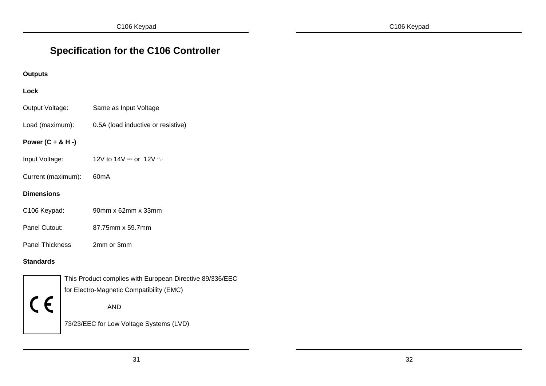# **Specification for the C106 Controller**

## **Outputs**

## **Lock**

| Output Voltage: | Same as Input Voltage |
|-----------------|-----------------------|
|-----------------|-----------------------|

Load (maximum): 0.5A (load inductive or resistive)

### **Power (C + & H -)**

- Input Voltage: 12V to 14V  $=$  or 12V  $\sim$
- Current (maximum): 60mA

### **Dimensions**

- C106 Keypad: 90mm x 62mm x 33mm
- Panel Cutout: 87.75mm x 59.7mm
- Panel Thickness 2mm or 3mm

### **Standards**



This Product complies with European Directive 89/336/EEC for Electro-Magnetic Compatibility (EMC)

AND

73/23/EEC for Low Voltage Systems (LVD)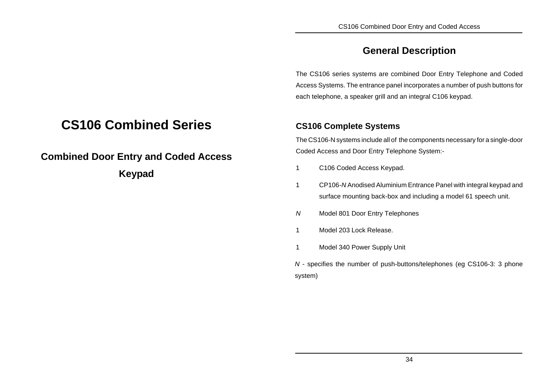# **General Description**

The CS106 series systems are combined Door Entry Telephone and Coded Access Systems. The entrance panel incorporates a number of push buttons for each telephone, a speaker grill and an integral C106 keypad.

## **CS106 Complete Systems**

The CS106-N systems include all of the components necessary for a single-door Coded Access and Door Entry Telephone System:-

- 1 C106 Coded Access Keypad.
- 1 CP106-*N* Anodised Aluminium Entrance Panel with integral keypad and surface mounting back-box and including a model 61 speech unit.
- *N* Model 801 Door Entry Telephones
- 1 Model 203 Lock Release.
- 1 Model 340 Power Supply Unit

*N* - specifies the number of push-buttons/telephones (eg CS106-3: 3 phone system)

# **CS106 Combined Series**

**Combined Door Entry and Coded Access Keypad**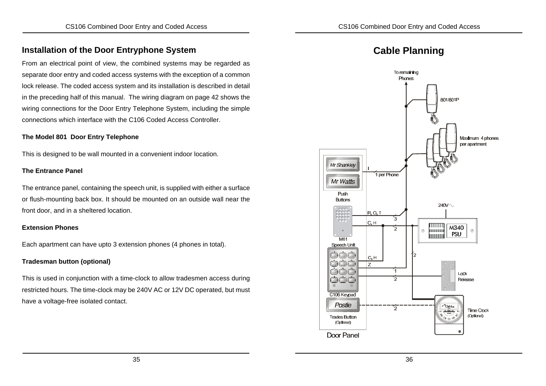## **Installation of the Door Entryphone System**

From an electrical point of view, the combined systems may be regarded as separate door entry and coded access systems with the exception of a common lock release. The coded access system and its installation is described in detail in the preceding half of this manual. The wiring diagram on page 42 shows the wiring connections for the Door Entry Telephone System, including the simple connections which interface with the C106 Coded Access Controller.

#### **The Model 801 Door Entry Telephone**

This is designed to be wall mounted in a convenient indoor location.

#### **The Entrance Panel**

The entrance panel, containing the speech unit, is supplied with either a surface or flush-mounting back box. It should be mounted on an outside wall near the front door, and in a sheltered location.

#### **Extension Phones**

Each apartment can have upto 3 extension phones (4 phones in total).

#### **Tradesman button (optional)**

This is used in conjunction with a time-clock to allow tradesmen access during restricted hours. The time-clock may be 240V AC or 12V DC operated, but must have a voltage-free isolated contact.



# **Cable Planning**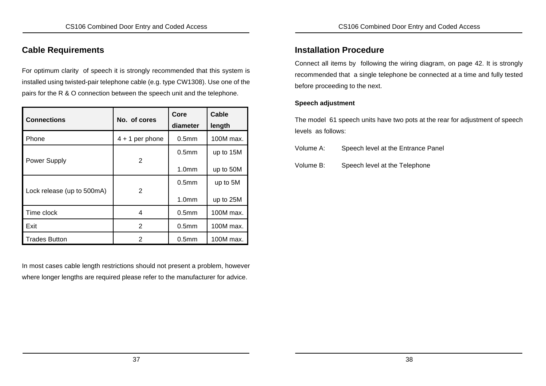## **Cable Requirements**

For optimum clarity of speech it is strongly recommended that this system is installed using twisted-pair telephone cable (e.g. type CW1308). Use one of the pairs for the R & O connection between the speech unit and the telephone.

| <b>Connections</b>         | No. of cores      | Core<br>diameter  | Cable<br>length |
|----------------------------|-------------------|-------------------|-----------------|
| Phone                      | $4 + 1$ per phone | 0.5 <sub>mm</sub> | 100M max.       |
|                            |                   | 0.5 <sub>mm</sub> | up to 15M       |
| <b>Power Supply</b>        | 2                 | 1.0 <sub>mm</sub> | up to 50M       |
|                            | 2                 | 0.5 <sub>mm</sub> | up to 5M        |
| Lock release (up to 500mA) |                   | 1.0 <sub>mm</sub> | up to 25M       |
| Time clock                 | 4                 | 0.5 <sub>mm</sub> | 100M max.       |
| Exit                       | 2                 | 0.5 <sub>mm</sub> | 100M max.       |
| <b>Trades Button</b>       | 2                 | 0.5 <sub>mm</sub> | 100M max.       |

In most cases cable length restrictions should not present a problem, however where longer lengths are required please refer to the manufacturer for advice.

## **Installation Procedure**

Connect all items by following the wiring diagram, on page 42. It is strongly recommended that a single telephone be connected at a time and fully tested before proceeding to the next.

### **Speech adjustment**

The model 61 speech units have two pots at the rear for adjustment of speech levels as follows:

Volume A: Speech level at the Entrance Panel

Volume B: Speech level at the Telephone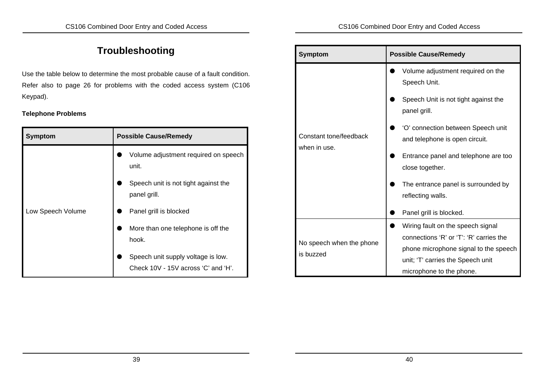# **Troubleshooting**

Use the table below to determine the most probable cause of a fault condition. Refer also to page 26 for problems with the coded access system (C106 Keypad).

### **Telephone Problems**

| <b>Symptom</b>    | <b>Possible Cause/Remedy</b>                                              |  |
|-------------------|---------------------------------------------------------------------------|--|
|                   | Volume adjustment required on speech<br>unit.                             |  |
|                   | Speech unit is not tight against the<br>panel grill.                      |  |
| Low Speech Volume | Panel grill is blocked                                                    |  |
|                   | More than one telephone is off the<br>hook.                               |  |
|                   | Speech unit supply voltage is low.<br>Check 10V - 15V across 'C' and 'H'. |  |

| <b>Symptom</b>                         | <b>Possible Cause/Remedy</b>                                                 |  |  |
|----------------------------------------|------------------------------------------------------------------------------|--|--|
|                                        | Volume adjustment required on the<br>Speech Unit.                            |  |  |
|                                        | Speech Unit is not tight against the<br>panel grill.                         |  |  |
| Constant tone/feedback<br>when in use. | 'O' connection between Speech unit<br>and telephone is open circuit.         |  |  |
|                                        | Entrance panel and telephone are too<br>close together.                      |  |  |
|                                        | The entrance panel is surrounded by<br>reflecting walls.                     |  |  |
|                                        | Panel grill is blocked.                                                      |  |  |
|                                        | Wiring fault on the speech signal<br>connections 'R' or 'T': 'R' carries the |  |  |
| No speech when the phone<br>is buzzed  | phone microphone signal to the speech                                        |  |  |
|                                        | unit; 'T' carries the Speech unit                                            |  |  |
|                                        | microphone to the phone.                                                     |  |  |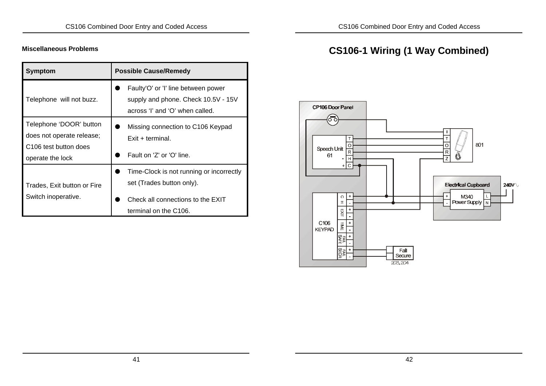## **Miscellaneous Problems**

| Symptom                                                                                                       | <b>Possible Cause/Remedy</b>                                                                                                        |
|---------------------------------------------------------------------------------------------------------------|-------------------------------------------------------------------------------------------------------------------------------------|
| Telephone will not buzz.                                                                                      | Faulty'O' or 'I' line between power<br>supply and phone. Check 10.5V - 15V<br>across 'I' and 'O' when called.                       |
| Telephone 'DOOR' button<br>does not operate release;<br>C <sub>106</sub> test button does<br>operate the lock | Missing connection to C106 Keypad<br>$Exit + terminal$<br>Fault on 'Z' or 'O' line.                                                 |
| Trades, Exit button or Fire<br>Switch inoperative.                                                            | Time-Clock is not running or incorrectly<br>set (Trades button only).<br>Check all connections to the EXIT<br>terminal on the C106. |

# **CS106-1 Wiring (1 Way Combined)**